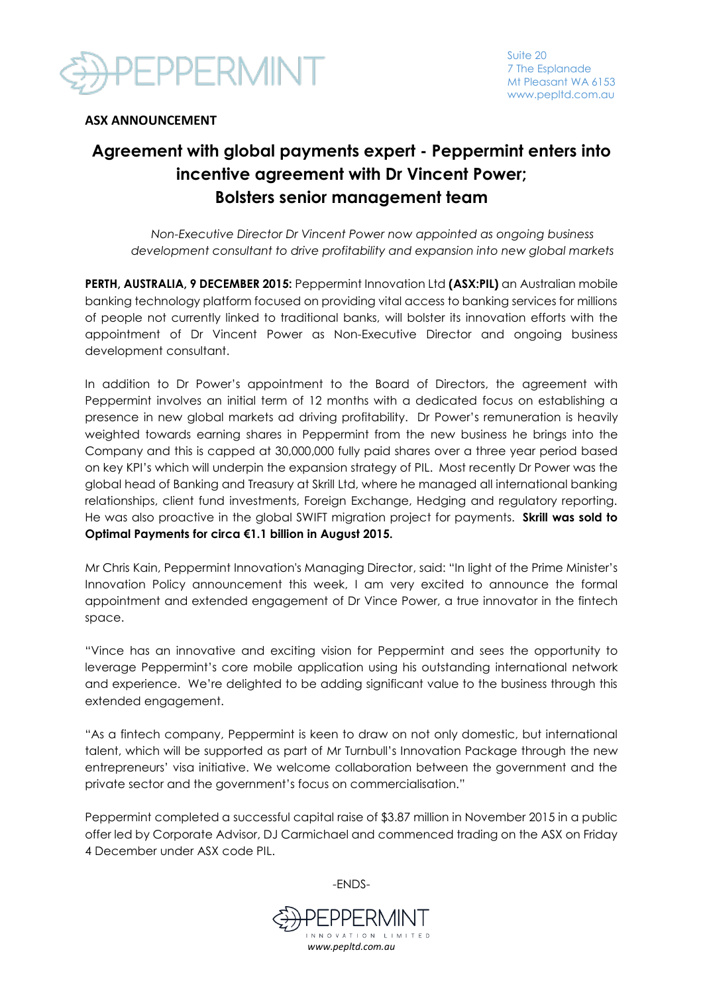

## **ASX ANNOUNCEMENT**

# **Agreement with global payments expert - Peppermint enters into incentive agreement with Dr Vincent Power; Bolsters senior management team**

*Non-Executive Director Dr Vincent Power now appointed as ongoing business development consultant to drive profitability and expansion into new global markets*

**PERTH, AUSTRALIA, 9 DECEMBER 2015:** Peppermint Innovation Ltd **(ASX:PIL)** an Australian mobile banking technology platform focused on providing vital access to banking services for millions of people not currently linked to traditional banks, will bolster its innovation efforts with the appointment of Dr Vincent Power as Non-Executive Director and ongoing business development consultant.

In addition to Dr Power's appointment to the Board of Directors, the agreement with Peppermint involves an initial term of 12 months with a dedicated focus on establishing a presence in new global markets ad driving profitability. Dr Power's remuneration is heavily weighted towards earning shares in Peppermint from the new business he brings into the Company and this is capped at 30,000,000 fully paid shares over a three year period based on key KPI's which will underpin the expansion strategy of PIL. Most recently Dr Power was the global head of Banking and Treasury at Skrill Ltd, where he managed all international banking relationships, client fund investments, Foreign Exchange, Hedging and regulatory reporting. He was also proactive in the global SWIFT migration project for payments. **Skrill was sold to Optimal Payments for circa €1.1 billion in August 2015.** 

Mr Chris Kain, Peppermint Innovation's Managing Director, said: "In light of the Prime Minister's Innovation Policy announcement this week, I am very excited to announce the formal appointment and extended engagement of Dr Vince Power, a true innovator in the fintech space.

"Vince has an innovative and exciting vision for Peppermint and sees the opportunity to leverage Peppermint's core mobile application using his outstanding international network and experience. We're delighted to be adding significant value to the business through this extended engagement.

"As a fintech company, Peppermint is keen to draw on not only domestic, but international talent, which will be supported as part of Mr Turnbull's Innovation Package through the new entrepreneurs' visa initiative. We welcome collaboration between the government and the private sector and the government's focus on commercialisation."

Peppermint completed a successful capital raise of \$3.87 million in November 2015 in a public offer led by Corporate Advisor, DJ Carmichael and commenced trading on the ASX on Friday 4 December under ASX code PIL.



-ENDS-